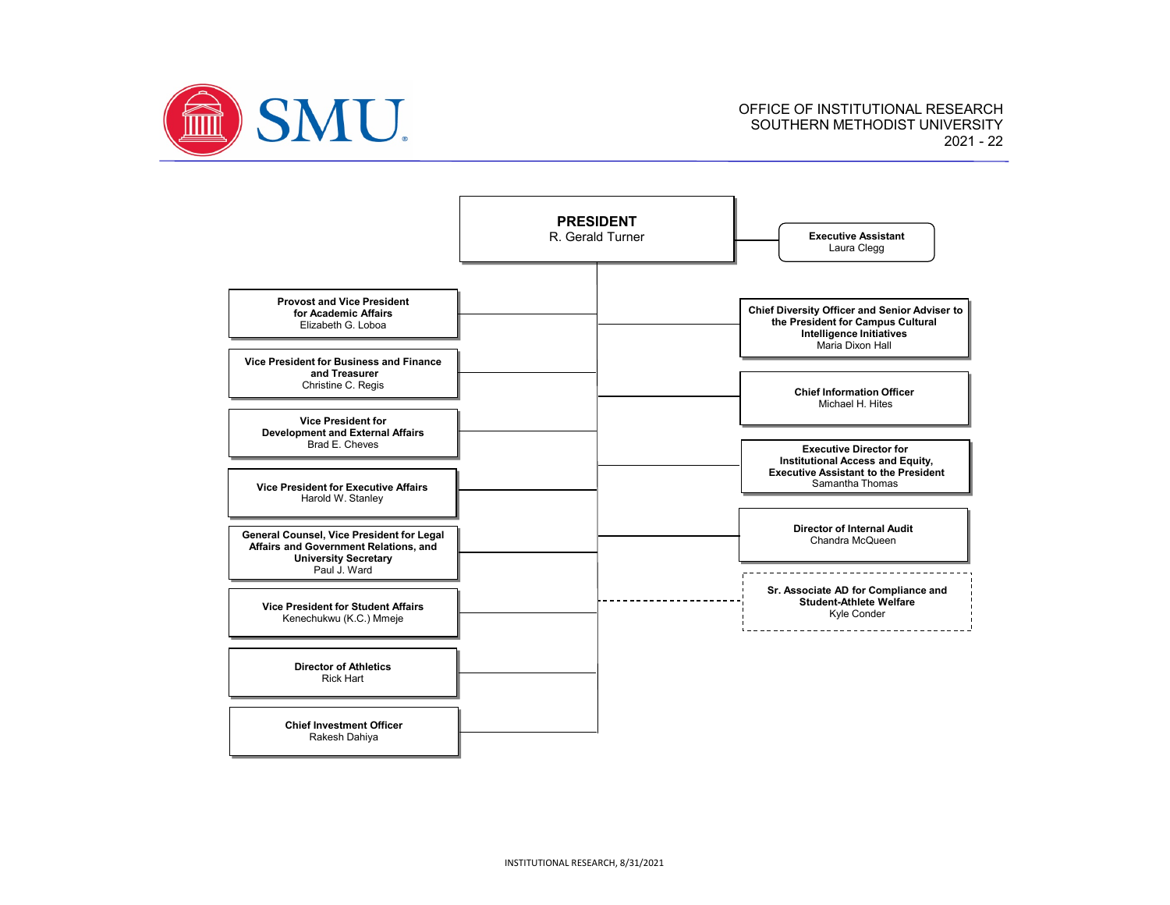

OFFICE OF INSTITUTIONAL RESEARCH SOUTHERN METHODIST UNIVERSITY 2021 - 22

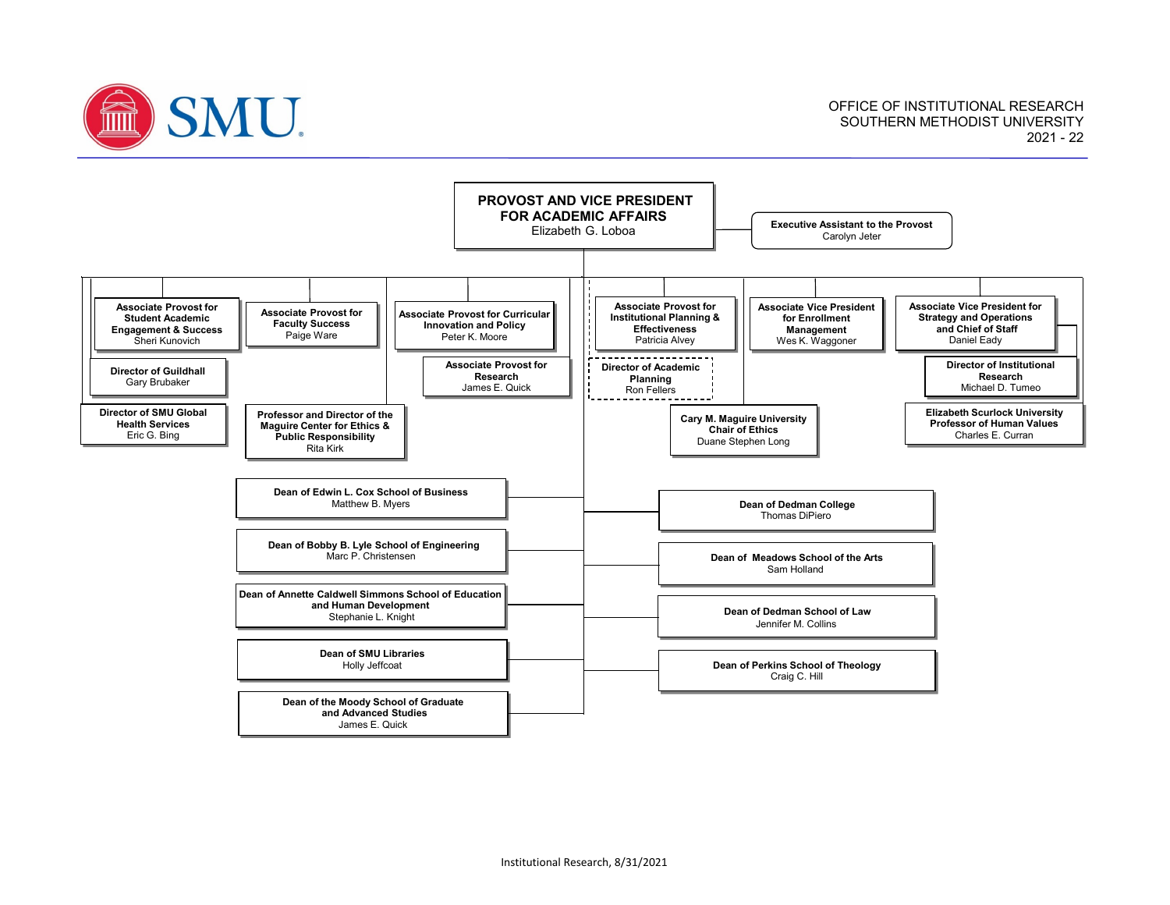

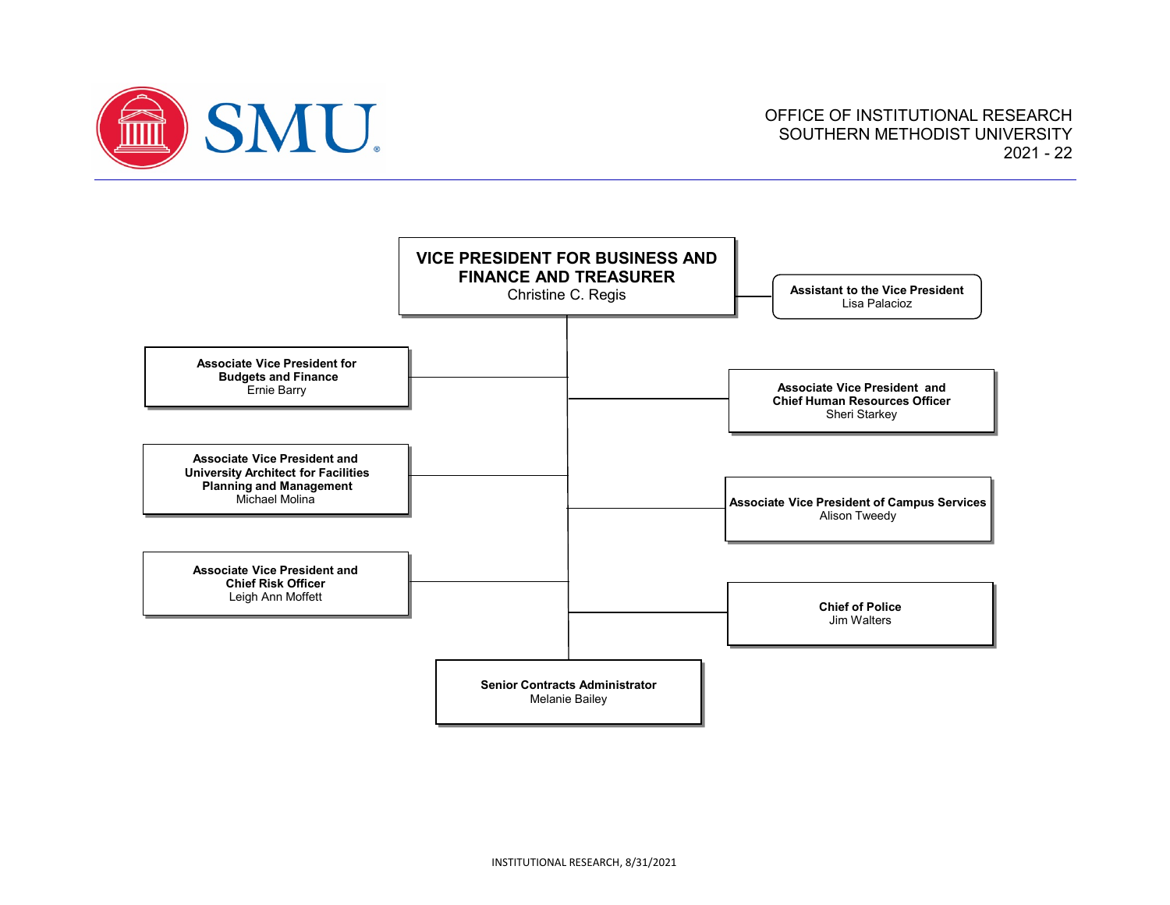

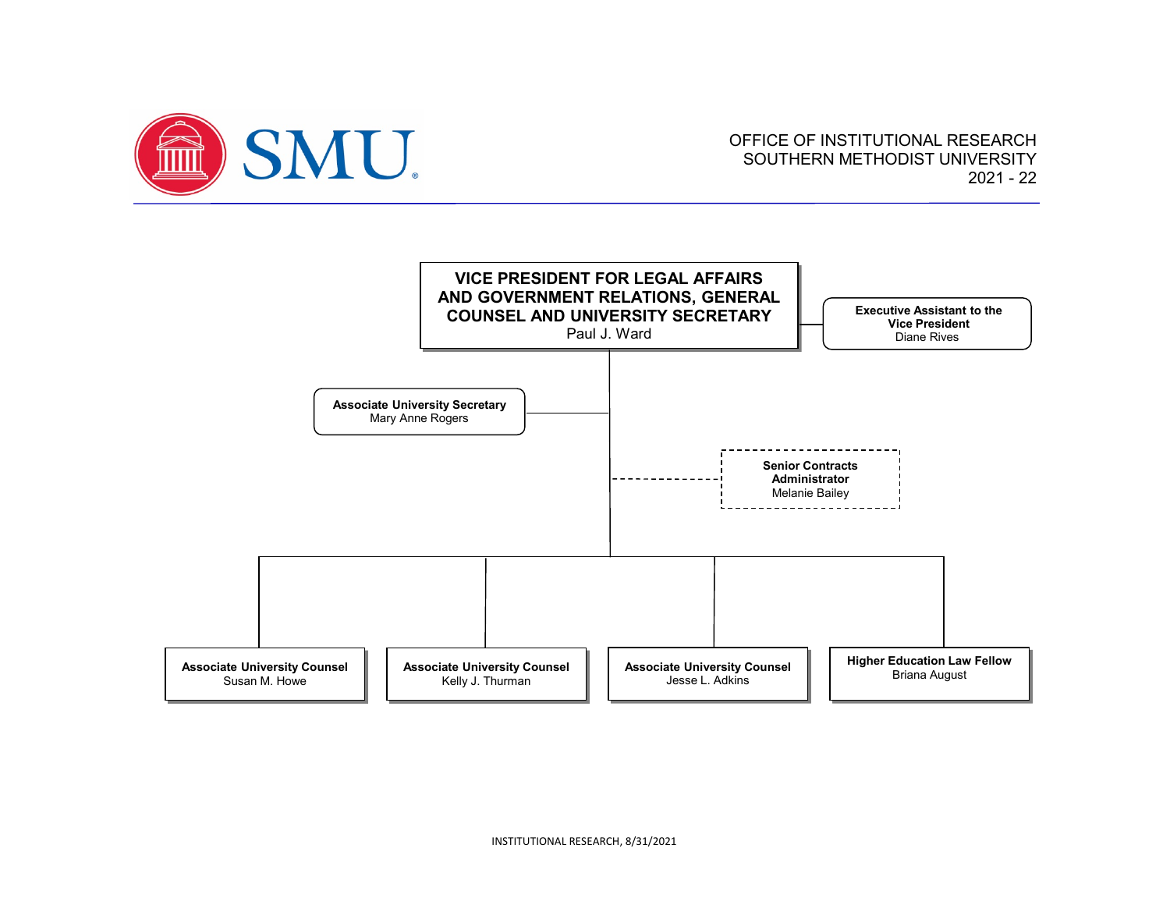

## OFFICE OF INSTITUTIONAL RESEARCH SOUTHERN METHODIST UNIVERSITY 2021 - 22

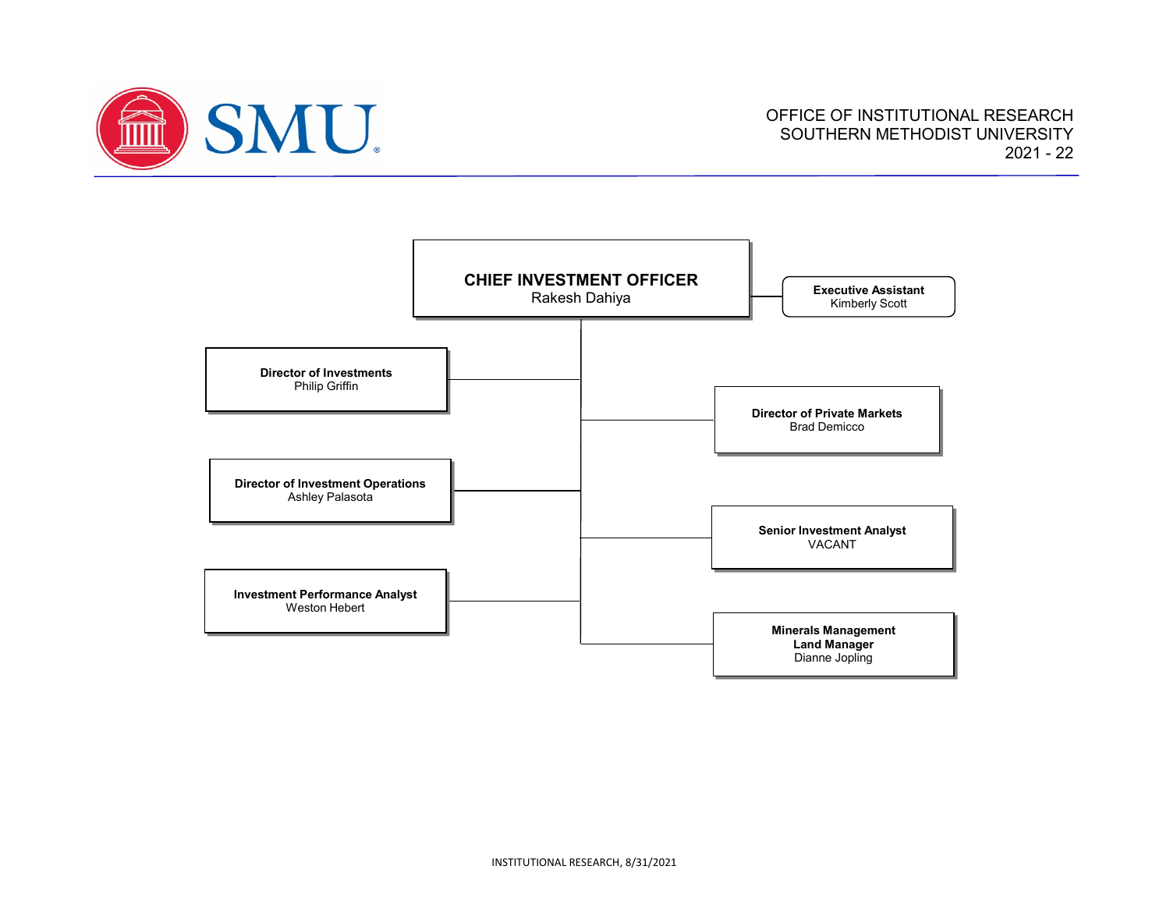

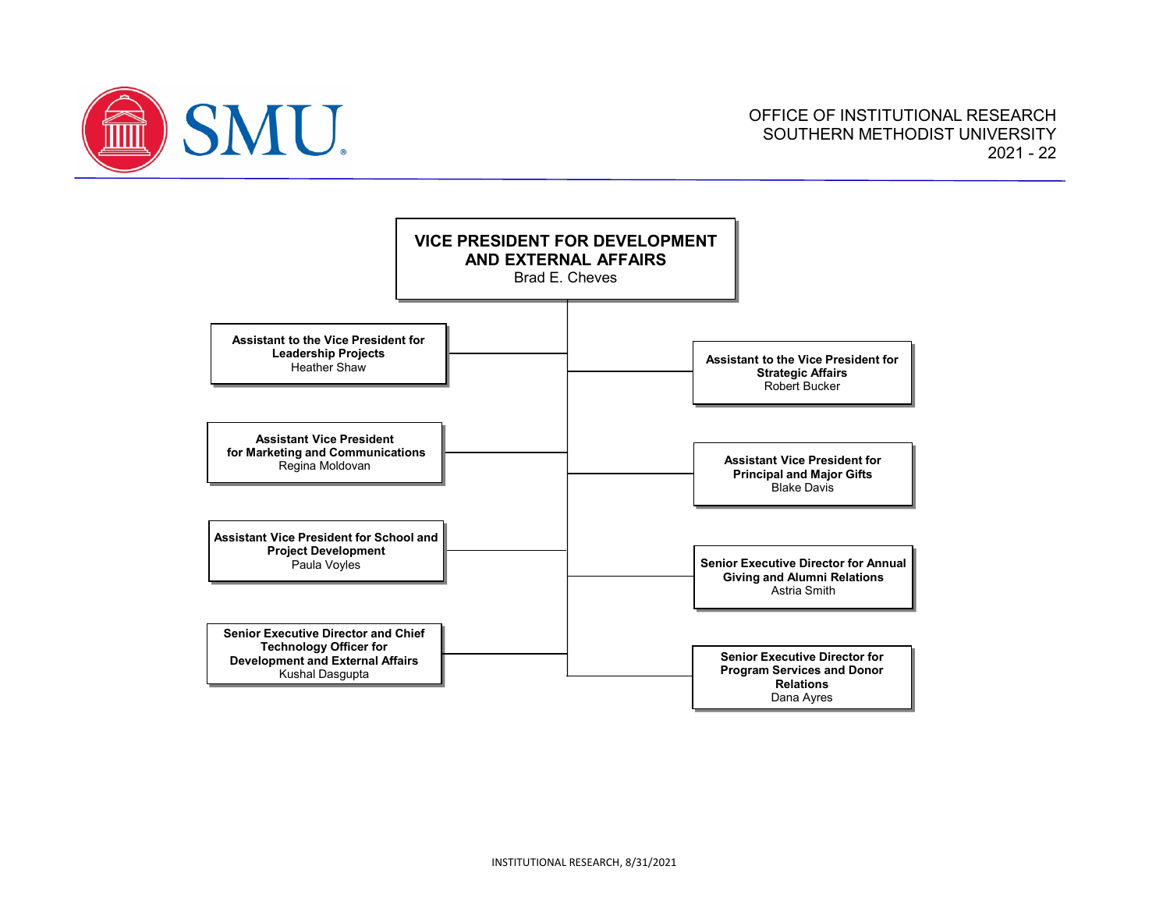

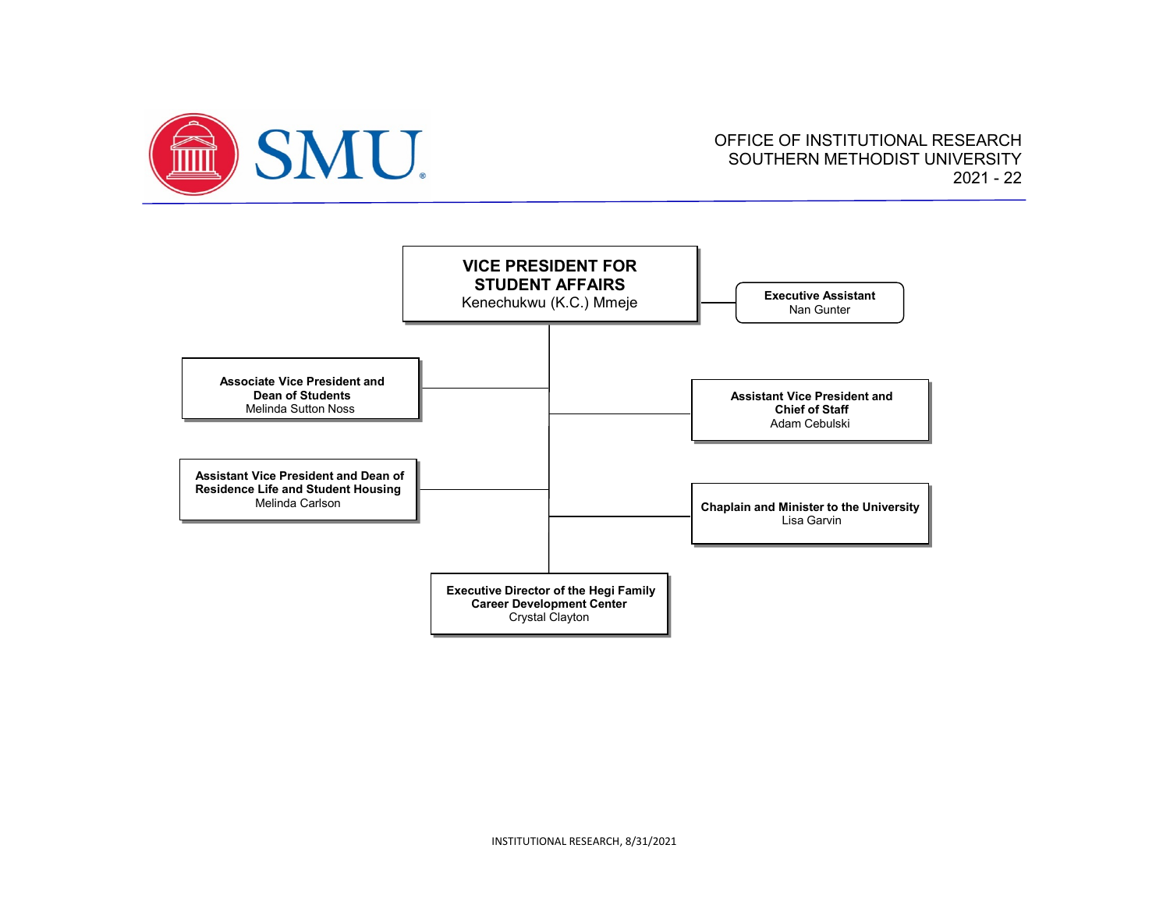

## OFFICE OF INSTITUTIONAL RESEARCH SOUTHERN METHODIST UNIVERSITY 2021 - 22